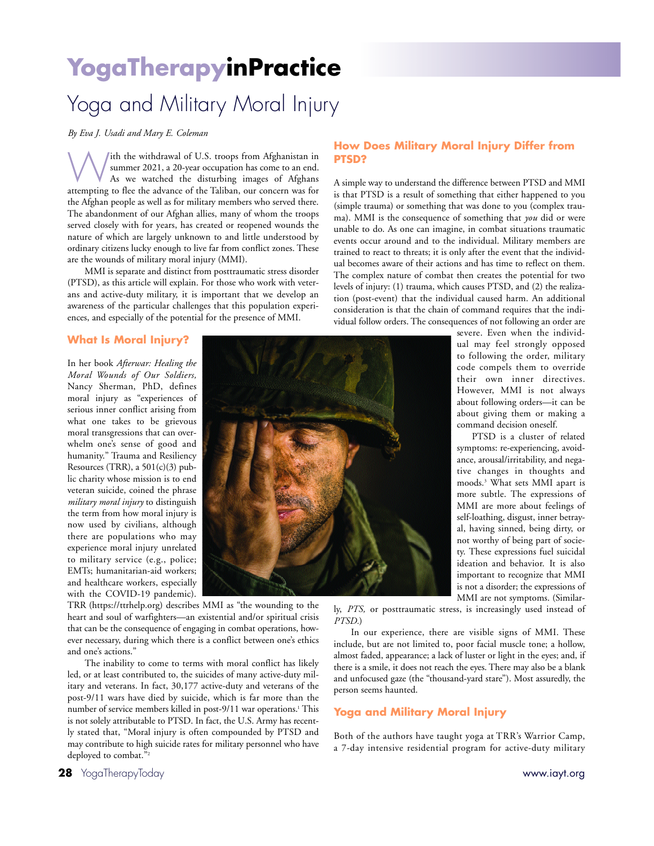# **YogaTherapyinPractice**

# Yoga and Military Moral Injury

*By Eva J. Usadi and Mary E. Coleman*

With the withdrawal of U.S. troops from Afghanistan in<br>
As we watched the disturbing images of Afghans<br>
attenuing to flog the educate of the Taliban cur concern was for summer 2021, a 20-year occupation has come to an end. attempting to flee the advance of the Taliban, our concern was for the Afghan people as well as for military members who served there. The abandonment of our Afghan allies, many of whom the troops served closely with for years, has created or reopened wounds the nature of which are largely unknown to and little understood by ordinary citizens lucky enough to live far from conflict zones. These are the wounds of military moral injury (MMI).

MMI is separate and distinct from posttraumatic stress disorder (PTSD), as this article will explain. For those who work with veterans and active-duty military, it is important that we develop an awareness of the particular challenges that this population experiences, and especially of the potential for the presence of MMI.

# **How Does Military Moral Injury Differ from PTSD?**

A simple way to understand the difference between PTSD and MMI is that PTSD is a result of something that either happened to you (simple trauma) or something that was done to you (complex trauma). MMI is the consequence of something that *you* did or were unable to do. As one can imagine, in combat situations traumatic events occur around and to the individual. Military members are trained to react to threats; it is only after the event that the individual becomes aware of their actions and has time to reflect on them. The complex nature of combat then creates the potential for two levels of injury: (1) trauma, which causes PTSD, and (2) the realization (post-event) that the individual caused harm. An additional consideration is that the chain of command requires that the individual follow orders. The consequences of not following an order are

# **What Is Moral Injury?**

In her book *Afterwar: Healing the Moral Wounds of Our Soldiers,* Nancy Sherman, PhD, defines moral injury as "experiences of serious inner conflict arising from what one takes to be grievous moral transgressions that can overwhelm one's sense of good and humanity." Trauma and Resiliency Resources (TRR), a  $501(c)(3)$  public charity whose mission is to end veteran suicide, coined the phrase *military moral injury* to distinguish the term from how moral injury is now used by civilians, although there are populations who may experience moral injury unrelated to military service (e.g., police; EMTs; humanitarian-aid workers; and healthcare workers, especially with the COVID-19 pandemic).



TRR (https://ttrhelp.org) describes MMI as "the wounding to the heart and soul of warfighters—an existential and/or spiritual crisis that can be the consequence of engaging in combat operations, however necessary, during which there is a conflict between one's ethics and one's actions."

The inability to come to terms with moral conflict has likely led, or at least contributed to, the suicides of many active-duty military and veterans. In fact, 30,177 active-duty and veterans of the post-9/11 wars have died by suicide, which is far more than the number of service members killed in post-9/11 war operations.<sup>1</sup> This is not solely attributable to PTSD. In fact, the U.S. Army has recently stated that, "Moral injury is often compounded by PTSD and may contribute to high suicide rates for military personnel who have deployed to combat."2

severe. Even when the individual may feel strongly opposed to following the order, military code compels them to override their own inner directives. However, MMI is not always about following orders—it can be about giving them or making a command decision oneself.

PTSD is a cluster of related symptoms: re-experiencing, avoidance, arousal/irritability, and negative changes in thoughts and moods.3 What sets MMI apart is more subtle. The expressions of MMI are more about feelings of self-loathing, disgust, inner betrayal, having sinned, being dirty, or not worthy of being part of society. These expressions fuel suicidal ideation and behavior. It is also important to recognize that MMI is not a disorder; the expressions of MMI are not symptoms. (Similar-

ly, *PTS,* or posttraumatic stress, is increasingly used instead of *PTSD.*)

In our experience, there are visible signs of MMI. These include, but are not limited to, poor facial muscle tone; a hollow, almost faded, appearance; a lack of luster or light in the eyes; and, if there is a smile, it does not reach the eyes. There may also be a blank and unfocused gaze (the "thousand-yard stare"). Most assuredly, the person seems haunted.

## **Yoga and Military Moral Injury**

Both of the authors have taught yoga at TRR's Warrior Camp, a 7-day intensive residential program for active-duty military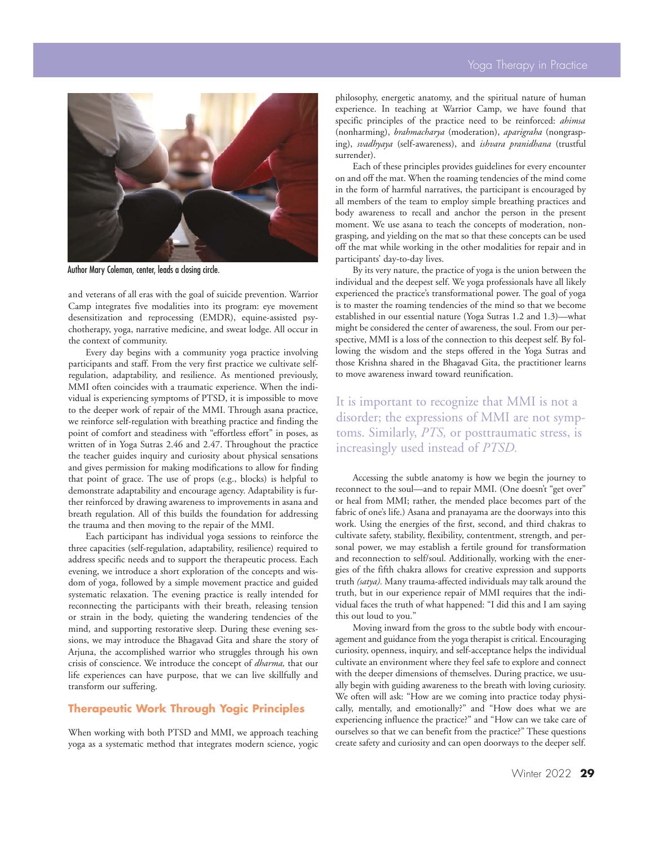

Author Mary Coleman, center, leads a closing circle.

and veterans of all eras with the goal of suicide prevention. Warrior Camp integrates five modalities into its program: eye movement desensitization and reprocessing (EMDR), equine-assisted psychotherapy, yoga, narrative medicine, and sweat lodge. All occur in the context of community.

Every day begins with a community yoga practice involving participants and staff. From the very first practice we cultivate selfregulation, adaptability, and resilience. As mentioned previously, MMI often coincides with a traumatic experience. When the individual is experiencing symptoms of PTSD, it is impossible to move to the deeper work of repair of the MMI. Through asana practice, we reinforce self-regulation with breathing practice and finding the point of comfort and steadiness with "effortless effort" in poses, as written of in Yoga Sutras 2.46 and 2.47. Throughout the practice the teacher guides inquiry and curiosity about physical sensations and gives permission for making modifications to allow for finding that point of grace. The use of props (e.g., blocks) is helpful to demonstrate adaptability and encourage agency. Adaptability is further reinforced by drawing awareness to improvements in asana and breath regulation. All of this builds the foundation for addressing the trauma and then moving to the repair of the MMI.

Each participant has individual yoga sessions to reinforce the three capacities (self-regulation, adaptability, resilience) required to address specific needs and to support the therapeutic process. Each evening, we introduce a short exploration of the concepts and wisdom of yoga, followed by a simple movement practice and guided systematic relaxation. The evening practice is really intended for reconnecting the participants with their breath, releasing tension or strain in the body, quieting the wandering tendencies of the mind, and supporting restorative sleep. During these evening sessions, we may introduce the Bhagavad Gita and share the story of Arjuna, the accomplished warrior who struggles through his own crisis of conscience. We introduce the concept of *dharma,* that our life experiences can have purpose, that we can live skillfully and transform our suffering.

## **Therapeutic Work Through Yogic Principles**

When working with both PTSD and MMI, we approach teaching yoga as a systematic method that integrates modern science, yogic philosophy, energetic anatomy, and the spiritual nature of human experience. In teaching at Warrior Camp, we have found that specific principles of the practice need to be reinforced: *ahimsa* (nonharming), *brahmacharya* (moderation), *aparigraha* (nongrasping), *svadhyaya* (self-awareness), and *ishvara pranidhana* (trustful surrender).

Each of these principles provides guidelines for every encounter on and off the mat. When the roaming tendencies of the mind come in the form of harmful narratives, the participant is encouraged by all members of the team to employ simple breathing practices and body awareness to recall and anchor the person in the present moment. We use asana to teach the concepts of moderation, nongrasping, and yielding on the mat so that these concepts can be used off the mat while working in the other modalities for repair and in participants' day-to-day lives.

By its very nature, the practice of yoga is the union between the individual and the deepest self. We yoga professionals have all likely experienced the practice's transformational power. The goal of yoga is to master the roaming tendencies of the mind so that we become established in our essential nature (Yoga Sutras 1.2 and 1.3)—what might be considered the center of awareness, the soul. From our perspective, MMI is a loss of the connection to this deepest self. By following the wisdom and the steps offered in the Yoga Sutras and those Krishna shared in the Bhagavad Gita, the practitioner learns to move awareness inward toward reunification.

It is important to recognize that MMI is not a disorder; the expressions of MMI are not symptoms. Similarly, *PTS,* or posttraumatic stress, is increasingly used instead of *PTSD.*

Accessing the subtle anatomy is how we begin the journey to reconnect to the soul—and to repair MMI. (One doesn't "get over" or heal from MMI; rather, the mended place becomes part of the fabric of one's life.) Asana and pranayama are the doorways into this work. Using the energies of the first, second, and third chakras to cultivate safety, stability, flexibility, contentment, strength, and personal power, we may establish a fertile ground for transformation and reconnection to self/soul. Additionally, working with the energies of the fifth chakra allows for creative expression and supports truth *(satya).* Many trauma-affected individuals may talk around the truth, but in our experience repair of MMI requires that the individual faces the truth of what happened: "I did this and I am saying this out loud to you."

Moving inward from the gross to the subtle body with encouragement and guidance from the yoga therapist is critical. Encouraging curiosity, openness, inquiry, and self-acceptance helps the individual cultivate an environment where they feel safe to explore and connect with the deeper dimensions of themselves. During practice, we usually begin with guiding awareness to the breath with loving curiosity. We often will ask: "How are we coming into practice today physically, mentally, and emotionally?" and "How does what we are experiencing influence the practice?" and "How can we take care of ourselves so that we can benefit from the practice?" These questions create safety and curiosity and can open doorways to the deeper self.